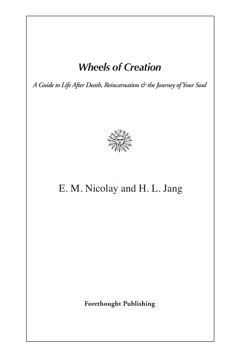## *Wheels of Creation*

*A Guideto Life After Death, Reincarnation & theJourney ofYour Soul*



# E. M. Nicolay and H. L. Jang

**Forethought Publishing**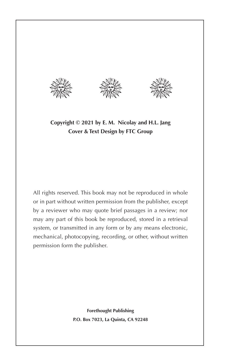





**Copyright © 2021 by E. M. Nicolay and H.L. Jang Cover & Text Design by FTC Group**

All rights reserved. This book may not be reproduced in whole or in part without written permission from the publisher, except by a reviewer who may quote brief passages in a review; nor may any part of this book be reproduced, stored in a retrieval system, or transmitted in any form or by any means electronic, mechanical, photocopying, recording, or other, without written permission form the publisher.

> **Forethought Publishing P.O. Box 7023, La Quinta, CA 92248**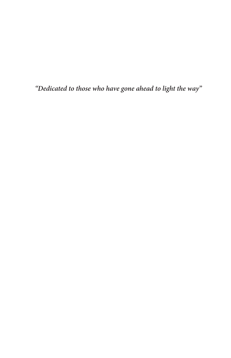*"Dedicated to those who have gone ahead to light the way"*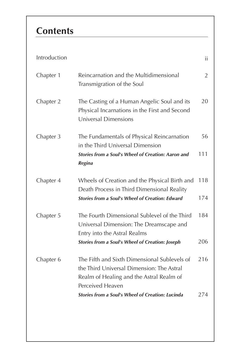| Introduction |                                                                                                                                                           | ii             |
|--------------|-----------------------------------------------------------------------------------------------------------------------------------------------------------|----------------|
| Chapter 1    | Reincarnation and the Multidimensional<br>Transmigration of the Soul                                                                                      | $\overline{2}$ |
| Chapter 2    | The Casting of a Human Angelic Soul and its<br>Physical Incarnations in the First and Second<br>Universal Dimensions                                      | 20             |
| Chapter 3    | The Fundamentals of Physical Reincarnation<br>in the Third Universal Dimension                                                                            | 56             |
|              | <b>Stories from a Soul's Wheel of Creation: Aaron and</b><br>Regina                                                                                       | 111            |
| Chapter 4    | Wheels of Creation and the Physical Birth and<br>Death Process in Third Dimensional Reality                                                               | 118            |
|              | <b>Stories from a Soul's Wheel of Creation: Edward</b>                                                                                                    | 174            |
| Chapter 5    | The Fourth Dimensional Sublevel of the Third<br>Universal Dimension: The Dreamscape and<br>Entry into the Astral Realms                                   | 184            |
|              | <b>Stories from a Soul's Wheel of Creation: Joseph</b>                                                                                                    | 206            |
| Chapter 6    | The Fifth and Sixth Dimensional Sublevels of<br>the Third Universal Dimension: The Astral<br>Realm of Healing and the Astral Realm of<br>Perceived Heaven | 216            |
|              | <b>Stories from a Soul's Wheel of Creation: Lucinda</b>                                                                                                   | 274            |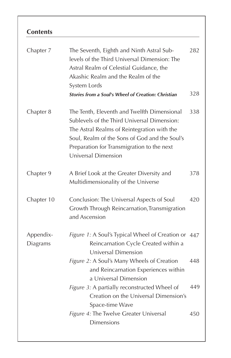| Chapter 7             | The Seventh, Eighth and Ninth Astral Sub-<br>levels of the Third Universal Dimension: The<br>Astral Realm of Celestial Guidance, the<br>Akashic Realm and the Realm of the<br>System Lords<br><b>Stories from a Soul's Wheel of Creation: Christian</b>         | 282<br>328 |
|-----------------------|-----------------------------------------------------------------------------------------------------------------------------------------------------------------------------------------------------------------------------------------------------------------|------------|
| Chapter 8             | The Tenth, Eleventh and Twelfth Dimensional<br>Sublevels of the Third Universal Dimension:<br>The Astral Realms of Reintegration with the<br>Soul, Realm of the Sons of God and the Soul's<br>Preparation for Transmigration to the next<br>Universal Dimension | 338        |
| Chapter 9             | A Brief Look at the Greater Diversity and<br>Multidimensionality of the Universe                                                                                                                                                                                | 378        |
| Chapter 10            | Conclusion: The Universal Aspects of Soul<br>Growth Through Reincarnation, Transmigration<br>and Ascension                                                                                                                                                      | 420        |
| Appendix-<br>Diagrams | Figure 1: A Soul's Typical Wheel of Creation or<br>Reincarnation Cycle Created within a<br>Universal Dimension                                                                                                                                                  | 447        |
|                       | Figure 2: A Soul's Many Wheels of Creation<br>and Reincarnation Experiences within<br>a Universal Dimension                                                                                                                                                     | 448        |
|                       | Figure 3: A partially reconstructed Wheel of<br>Creation on the Universal Dimension's<br>Space-time Wave                                                                                                                                                        | 449        |
|                       | Figure 4: The Twelve Greater Universal<br><b>Dimensions</b>                                                                                                                                                                                                     | 450        |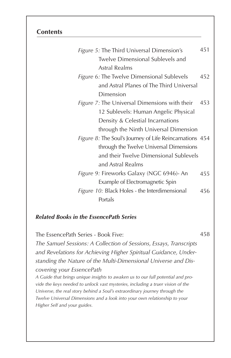| Figure 5: The Third Universal Dimension's               |     |  |
|---------------------------------------------------------|-----|--|
| Twelve Dimensional Sublevels and                        |     |  |
| Astral Realms                                           |     |  |
| Figure 6: The Twelve Dimensional Sublevels              | 452 |  |
| and Astral Planes of The Third Universal                |     |  |
| Dimension                                               |     |  |
| Figure 7: The Universal Dimensions with their           | 453 |  |
| 12 Sublevels: Human Angelic Physical                    |     |  |
| Density & Celestial Incarnations                        |     |  |
| through the Ninth Universal Dimension                   |     |  |
| Figure 8: The Soul's Journey of Life Reincarnations 454 |     |  |
| through the Twelve Universal Dimensions                 |     |  |
| and their Twelve Dimensional Sublevels                  |     |  |
| and Astral Realms                                       |     |  |
| Figure 9: Fireworks Galaxy (NGC 6946)- An               | 455 |  |
| Example of Electromagnetic Spin                         |     |  |
| Figure 10: Black Holes - the Interdimensional           |     |  |
| Portals                                                 |     |  |

#### *Related Books in the EssencePath Series*

The EssencePath Series - Book Five: *The Samuel Sessions: A Collection of Sessions, Essays, Transcripts and Revelations for Achieving Higher Spiritual Guidance, Understanding the Nature of the Multi-Dimensional Universe and Discovering your EssencePath* 458

*A Guide that brings unique insights to awaken us to our full potential and provide the keys needed to unlock vast mysteries, including a truer vision of the Universe, the real story behind a Soul's extraordinary journey through the Twelve Universal Dimensions and a look into your own relationship to your Higher Self and your guides.*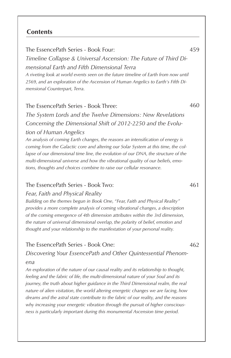The EssencePath Series - Book Four: *Timeline Collapse & Universal Ascension: The Future of Third Dimensional Earth and Fifth Dimensional Terra A riveting look at world events seen on the future timeline of Earth from now until 2569, and an exploration of the Ascension of Human Angelics to Earth's Fifth Dimensional Counterpart, Terra.*

#### The EssencePath Series - Book Three:

*The System Lords and the Twelve Dimensions: New Revelations Concerning the Dimensional Shift of 2012-2250 and the Evolution of Human Angelics*

*An analysis of coming Earth changes, the reasons an intensification of energy is coming from the Galactic core and altering our Solar System at this time, the collapse of our dimensional time line, the evolution of our DNA, the structure of the multi-dimensional universe and how the vibrational quality of our beliefs, emotions, thoughts and choices combine to raise our cellular resonance.*

#### The EssencePath Series - Book Two:

*Fear, Faith and Physical Reality*

*Building on the themes begun in Book One, "Fear, Faith and Physical Reality" provides a more complete analysis of coming vibrational changes, a description of the coming emergence of 4th dimension attributes within the 3rd dimension, the nature of universal dimensional overlap, the polarity of belief, emotion and thought and your relationship to the manifestation of your personal reality.*

#### The EssencePath Series - Book One:

*Discovering Your EssencePath and Other Quintessential Phenomena*

*An exploration of the nature of our causal reality and its relationship to thought, feeling and the fabric of life, the multi-dimensional nature of your Soul and its journey, the truth about higher guidance in the Third Dimensional realm, the real nature of alien visitation, the world altering energetic changes we are facing, how dreams and the astral state contribute to the fabric of our reality, and the reasons why increasing your energetic vibration through the pursuit of higher consciousness is particularly important during this monumental Ascension time period.*

461

462

460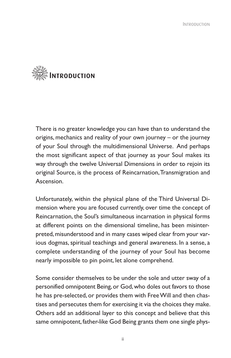

There is no greater knowledge you can have than to understand the origins, mechanics and reality of your own journey – or the journey of your Soul through the multidimensional Universe. And perhaps the most significant aspect of that journey as your Soul makes its way through the twelve Universal Dimensions in order to rejoin its original Source, is the process of Reincarnation,Transmigration and Ascension.

Unfortunately, within the physical plane of the Third Universal Dimension where you are focused currently, over time the concept of Reincarnation, the Soul's simultaneous incarnation in physical forms at different points on the dimensional timeline, has been misinterpreted, misunderstood and in many cases wiped clear from your various dogmas, spiritual teachings and general awareness. In a sense, a complete understanding of the journey of your Soul has become nearly impossible to pin point, let alone comprehend.

Some consider themselves to be under the sole and utter sway of a personified omnipotent Being, or God, who doles out favors to those he has pre-selected, or provides them with FreeWill and then chastises and persecutes them for exercising it via the choices they make. Others add an additional layer to this concept and believe that this same omnipotent, father-like God Being grants them one single phys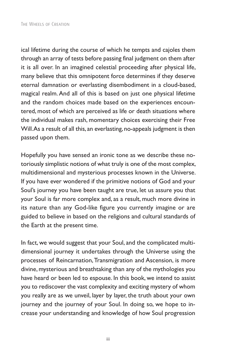ical lifetime during the course of which he tempts and cajoles them through an array of tests before passing final judgment on them after it is all over. In an imagined celestial proceeding after physical life, many believe that this omnipotent force determines if they deserve eternal damnation or everlasting disembodiment in a cloud-based, magical realm.And all of this is based on just one physical lifetime and the random choices made based on the experiences encountered, most of which are perceived as life or death situations where the individual makes rash, momentary choices exercising their Free Will.As a result of all this, an everlasting, no-appeals judgment is then passed upon them.

Hopefully you have sensed an ironic tone as we describe these notoriously simplistic notions of what truly is one of the most complex, multidimensional and mysterious processes known in the Universe. If you have ever wondered if the primitive notions of God and your Soul's journey you have been taught are true, let us assure you that your Soul is far more complex and, as a result, much more divine in its nature than any God-like figure you currently imagine or are guided to believe in based on the religions and cultural standards of the Earth at the present time.

In fact, we would suggest that your Soul, and the complicated multidimensional journey it undertakes through the Universe using the processes of Reincarnation, Transmigration and Ascension, is more divine, mysterious and breathtaking than any of the mythologies you have heard or been led to espouse. In this book, we intend to assist you to rediscover the vast complexity and exciting mystery of whom you really are as we unveil, layer by layer, the truth about your own journey and the journey of your Soul. In doing so, we hope to increase your understanding and knowledge of how Soul progression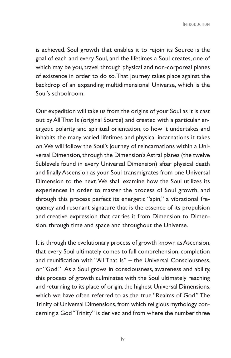is achieved. Soul growth that enables it to rejoin its Source is the goal of each and every Soul, and the lifetimes a Soul creates, one of which may be you, travel through physical and non-corporeal planes of existence in order to do so.That journey takes place against the backdrop of an expanding multidimensional Universe, which is the Soul's schoolroom.

Our expedition will take us from the origins of your Soul as it is cast out by AllThat Is (original Source) and created with a particular energetic polarity and spiritual orientation, to how it undertakes and inhabits the many varied lifetimes and physical incarnations it takes on.We will follow the Soul's journey of reincarnations within a Universal Dimension, through the Dimension's Astral planes (the twelve Sublevels found in every Universal Dimension) after physical death and finally Ascension as your Soul transmigrates from one Universal Dimension to the next.We shall examine how the Soul utilizes its experiences in order to master the process of Soul growth, and through this process perfect its energetic "spin," a vibrational frequency and resonant signature that is the essence of its propulsion and creative expression that carries it from Dimension to Dimension, through time and space and throughout the Universe.

It is through the evolutionary process of growth known as Ascension, that every Soul ultimately comes to full comprehension, completion and reunification with "All That Is" – the Universal Consciousness, or "God." As a Soul grows in consciousness, awareness and ability, this process of growth culminates with the Soul ultimately reaching and returning to its place of origin, the highest Universal Dimensions, which we have often referred to as the true "Realms of God." The Trinity of Universal Dimensions, from which religious mythology concerning a God "Trinity" is derived and from where the number three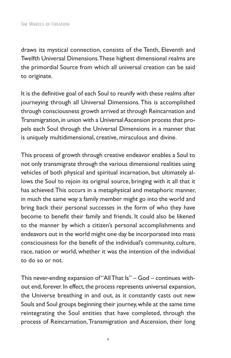draws its mystical connection, consists of the Tenth, Eleventh and Twelfth Universal Dimensions.These highest dimensional realms are the primordial Source from which all universal creation can be said to originate.

It is the definitive goal of each Soul to reunify with these realms after journeying through all Universal Dimensions.This is accomplished through consciousness growth arrived at through Reincarnation and Transmigration, in union with a Universal Ascension process that propels each Soul through the Universal Dimensions in a manner that is uniquely multidimensional, creative, miraculous and divine.

This process of growth through creative endeavor enables a Soul to not only transmigrate through the various dimensional realities using vehicles of both physical and spiritual incarnation, but ultimately allows the Soul to rejoin its original source, bringing with it all that it has achieved.This occurs in a metaphysical and metaphoric manner, in much the same way a family member might go into the world and bring back their personal successes in the form of who they have become to benefit their family and friends. It could also be likened to the manner by which a citizen's personal accomplishments and endeavors out in the world might one day be incorporated into mass consciousness for the benefit of the individual's community, culture, race, nation or world, whether it was the intention of the individual to do so or not.

This never-ending expansion of "AllThat Is" – God – continues without end, forever. In effect, the process represents universal expansion, the Universe breathing in and out, as it constantly casts out new Souls and Soul groups beginning their journey,while at the same time reintegrating the Soul entities that have completed, through the process of Reincarnation, Transmigration and Ascension, their long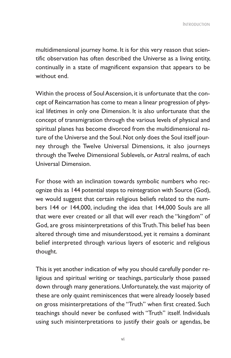multidimensional journey home. It is for this very reason that scientific observation has often described the Universe as a living entity, continually in a state of magnificent expansion that appears to be without end.

Within the process of Soul Ascension, it is unfortunate that the concept of Reincarnation has come to mean a linear progression of physical lifetimes in only one Dimension. It is also unfortunate that the concept of transmigration through the various levels of physical and spiritual planes has become divorced from the multidimensional nature of the Universe and the Soul. Not only does the Soul itself journey through the Twelve Universal Dimensions, it also journeys through the Twelve Dimensional Sublevels, or Astral realms, of each Universal Dimension.

For those with an inclination towards symbolic numbers who recognize this as 144 potential steps to reintegration with Source (God), we would suggest that certain religious beliefs related to the numbers 144 or 144,000, including the idea that 144,000 Souls are all that were ever created or all that will ever reach the "kingdom" of God, are gross misinterpretations of this Truth.This belief has been altered through time and misunderstood, yet it remains a dominant belief interpreted through various layers of esoteric and religious thought.

This is yet another indication of why you should carefully ponder religious and spiritual writing or teachings, particularly those passed down through many generations. Unfortunately, the vast majority of these are only quaint reminiscences that were already loosely based on gross misinterpretations of the "Truth" when first created. Such teachings should never be confused with "Truth" itself. Individuals using such misinterpretations to justify their goals or agendas, be

vi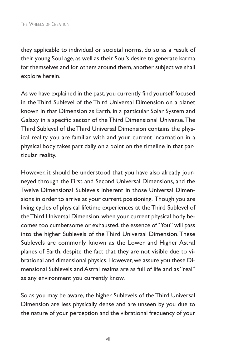they applicable to individual or societal norms, do so as a result of their young Soul age, as well as their Soul's desire to generate karma for themselves and for others around them, another subject we shall explore herein.

As we have explained in the past, you currently find yourself focused in the Third Sublevel of the Third Universal Dimension on a planet known in that Dimension as Earth, in a particular Solar System and Galaxy in a specific sector of the Third Dimensional Universe.The Third Sublevel of theThird Universal Dimension contains the physical reality you are familiar with and your current incarnation in a physical body takes part daily on a point on the timeline in that particular reality.

However, it should be understood that you have also already journeyed through the First and Second Universal Dimensions, and the Twelve Dimensional Sublevels inherent in those Universal Dimensions in order to arrive at your current positioning. Though you are living cycles of physical lifetime experiences at the Third Sublevel of theThird Universal Dimension,when your current physical body becomes too cumbersome or exhausted, the essence of "You" will pass into the higher Sublevels of the Third Universal Dimension.These Sublevels are commonly known as the Lower and Higher Astral planes of Earth, despite the fact that they are not visible due to vibrational and dimensional physics. However, we assure you these Dimensional Sublevels and Astral realms are as full of life and as "real" as any environment you currently know.

So as you may be aware, the higher Sublevels of the Third Universal Dimension are less physically dense and are unseen by you due to the nature of your perception and the vibrational frequency of your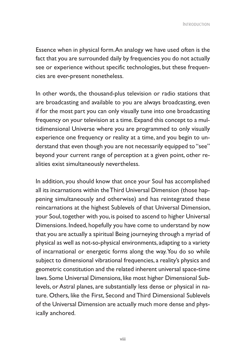Essence when in physical form.An analogy we have used often is the fact that you are surrounded daily by frequencies you do not actually see or experience without specific technologies, but these frequencies are ever-present nonetheless.

In other words, the thousand-plus television or radio stations that are broadcasting and available to you are always broadcasting, even if for the most part you can only visually tune into one broadcasting frequency on your television at a time. Expand this concept to a multidimensional Universe where you are programmed to only visually experience one frequency or reality at a time, and you begin to understand that even though you are not necessarily equipped to "see" beyond your current range of perception at a given point, other realities exist simultaneously nevertheless.

In addition, you should know that once your Soul has accomplished all its incarnations within theThird Universal Dimension (those happening simultaneously and otherwise) and has reintegrated these reincarnations at the highest Sublevels of that Universal Dimension, your Soul, together with you, is poised to ascend to higher Universal Dimensions. Indeed, hopefully you have come to understand by now that you are actually a spiritual Being journeying through a myriad of physical as well as not-so-physical environments, adapting to a variety of incarnational or energetic forms along the way.You do so while subject to dimensional vibrational frequencies, a reality's physics and geometric constitution and the related inherent universal space-time laws. Some Universal Dimensions, like most higher Dimensional Sublevels, or Astral planes, are substantially less dense or physical in nature. Others, like the First, Second and Third Dimensional Sublevels of the Universal Dimension are actually much more dense and physically anchored.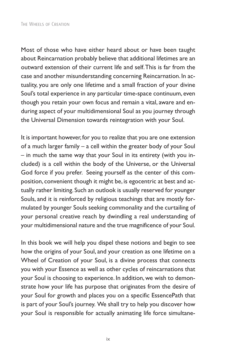Most of those who have either heard about or have been taught about Reincarnation probably believe that additional lifetimes are an outward extension of their current life and self.This is far from the case and another misunderstanding concerning Reincarnation. In actuality, you are only one lifetime and a small fraction of your divine Soul's total experience in any particular time-space continuum, even though you retain your own focus and remain a vital, aware and enduring aspect of your multidimensional Soul as you journey through the Universal Dimension towards reintegration with your Soul.

It is important however, for you to realize that you are one extension of a much larger family – a cell within the greater body of your Soul – in much the same way that your Soul in its entirety (with you included) is a cell within the body of the Universe, or the Universal God force if you prefer. Seeing yourself as the center of this composition, convenient though it might be, is egocentric at best and actually rather limiting. Such an outlook is usually reserved for younger Souls, and it is reinforced by religious teachings that are mostly formulated by younger Souls seeking commonality and the curtailing of your personal creative reach by dwindling a real understanding of your multidimensional nature and the true magnificence of your Soul.

In this book we will help you dispel these notions and begin to see how the origins of your Soul, and your creation as one lifetime on a Wheel of Creation of your Soul, is a divine process that connects you with your Essence as well as other cycles of reincarnations that your Soul is choosing to experience. In addition, we wish to demonstrate how your life has purpose that originates from the desire of your Soul for growth and places you on a specific EssencePath that is part of your Soul's journey. We shall try to help you discover how your Soul is responsible for actually animating life force simultane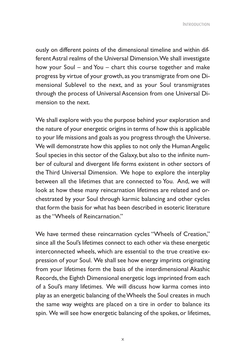ously on different points of the dimensional timeline and within differentAstral realms of the Universal Dimension.We shall investigate how your Soul – and You – chart this course together and make progress by virtue of your growth, as you transmigrate from one Dimensional Sublevel to the next, and as your Soul transmigrates through the process of Universal Ascension from one Universal Dimension to the next.

We shall explore with you the purpose behind your exploration and the nature of your energetic origins in terms of how this is applicable to your life missions and goals as you progress through the Universe. We will demonstrate how this applies to not only the Human Angelic Soul species in this sector of the Galaxy, but also to the infinite number of cultural and divergent life forms existent in other sectors of the Third Universal Dimension. We hope to explore the interplay between all the lifetimes that are connected to You. And, we will look at how these many reincarnation lifetimes are related and orchestrated by your Soul through karmic balancing and other cycles that form the basis for what has been described in esoteric literature as the "Wheels of Reincarnation."

We have termed these reincarnation cycles "Wheels of Creation," since all the Soul's lifetimes connect to each other via these energetic interconnected wheels, which are essential to the true creative expression of your Soul. We shall see how energy imprints originating from your lifetimes form the basis of the interdimensional Akashic Records, the Eighth Dimensional energetic logs imprinted from each of a Soul's many lifetimes. We will discuss how karma comes into play as an energetic balancing of theWheels the Soul creates in much the same way weights are placed on a tire in order to balance its spin. We will see how energetic balancing of the spokes, or lifetimes,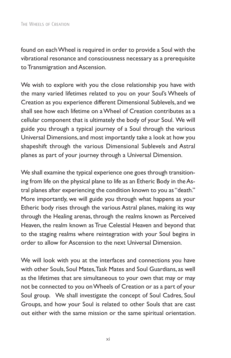found on eachWheel is required in order to provide a Soul with the vibrational resonance and consciousness necessary as a prerequisite to Transmigration and Ascension.

We wish to explore with you the close relationship you have with the many varied lifetimes related to you on your Soul's Wheels of Creation as you experience different Dimensional Sublevels, and we shall see how each lifetime on aWheel of Creation contributes as a cellular component that is ultimately the body of your Soul. We will guide you through a typical journey of a Soul through the various Universal Dimensions, and most importantly take a look at how you shapeshift through the various Dimensional Sublevels and Astral planes as part of your journey through a Universal Dimension.

We shall examine the typical experience one goes through transitioning from life on the physical plane to life as an Etheric Body in theAstral planes after experiencing the condition known to you as "death." More importantly, we will guide you through what happens as your Etheric body rises through the various Astral planes, making its way through the Healing arenas, through the realms known as Perceived Heaven, the realm known as True Celestial Heaven and beyond that to the staging realms where reintegration with your Soul begins in order to allow for Ascension to the next Universal Dimension.

We will look with you at the interfaces and connections you have with other Souls, Soul Mates,Task Mates and Soul Guardians, as well as the lifetimes that are simultaneous to your own that may or may not be connected to you onWheels of Creation or as a part of your Soul group. We shall investigate the concept of Soul Cadres, Soul Groups, and how your Soul is related to other Souls that are cast out either with the same mission or the same spiritual orientation.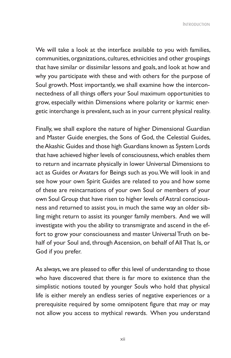Introduction

We will take a look at the interface available to you with families, communities, organizations, cultures, ethnicities and other groupings that have similar or dissimilar lessons and goals, and look at how and why you participate with these and with others for the purpose of Soul growth. Most importantly, we shall examine how the interconnectedness of all things offers your Soul maximum opportunities to grow, especially within Dimensions where polarity or karmic energetic interchange is prevalent, such as in your current physical reality.

Finally, we shall explore the nature of higher Dimensional Guardian and Master Guide energies, the Sons of God, the Celestial Guides, theAkashic Guides and those high Guardians known as System Lords that have achieved higher levels of consciousness, which enables them to return and incarnate physically in lower Universal Dimensions to act as Guides or Avatars for Beings such as you.We will look in and see how your own Spirit Guides are related to you and how some of these are reincarnations of your own Soul or members of your own Soul Group that have risen to higher levels of Astral consciousness and returned to assist you, in much the same way an older sibling might return to assist its younger family members. And we will investigate with you the ability to transmigrate and ascend in the effort to grow your consciousness and master Universal Truth on behalf of your Soul and, through Ascension, on behalf of All That Is, or God if you prefer.

As always,we are pleased to offer this level of understanding to those who have discovered that there is far more to existence than the simplistic notions touted by younger Souls who hold that physical life is either merely an endless series of negative experiences or a prerequisite required by some omnipotent figure that may or may not allow you access to mythical rewards. When you understand

xii